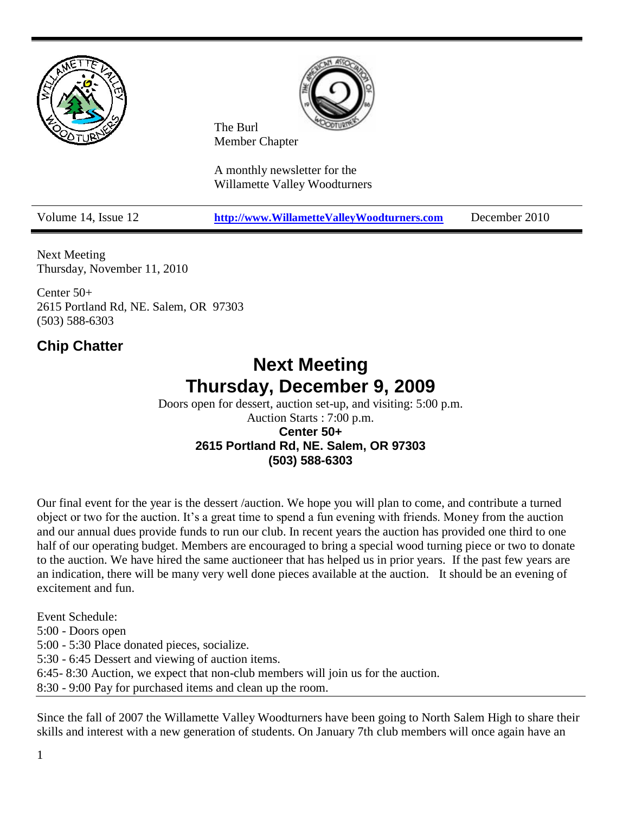



The Burl Member Chapter

A monthly newsletter for the Willamette Valley Woodturners

Volume 14, Issue 12 **[http://www.WillametteValleyWoodturners.com](http://www.willamettevalleywoodturners.com/)** December 2010

Next Meeting Thursday, November 11, 2010

Center 50+ 2615 Portland Rd, NE. Salem, OR 97303 (503) 588-6303

### **Chip Chatter**

## **Next Meeting Thursday, December 9, 2009**

Doors open for dessert, auction set-up, and visiting: 5:00 p.m. Auction Starts : 7:00 p.m. **Center 50+ 2615 Portland Rd, NE. Salem, OR 97303 (503) 588-6303** 

Our final event for the year is the dessert /auction. We hope you will plan to come, and contribute a turned object or two for the auction. It's a great time to spend a fun evening with friends. Money from the auction and our annual dues provide funds to run our club. In recent years the auction has provided one third to one half of our operating budget. Members are encouraged to bring a special wood turning piece or two to donate to the auction. We have hired the same auctioneer that has helped us in prior years. If the past few years are an indication, there will be many very well done pieces available at the auction. It should be an evening of excitement and fun.

Event Schedule:

5:00 - Doors open

5:00 - 5:30 Place donated pieces, socialize.

5:30 - 6:45 Dessert and viewing of auction items.

6:45- 8:30 Auction, we expect that non-club members will join us for the auction.

8:30 - 9:00 Pay for purchased items and clean up the room.

Since the fall of 2007 the Willamette Valley Woodturners have been going to North Salem High to share their skills and interest with a new generation of students. On January 7th club members will once again have an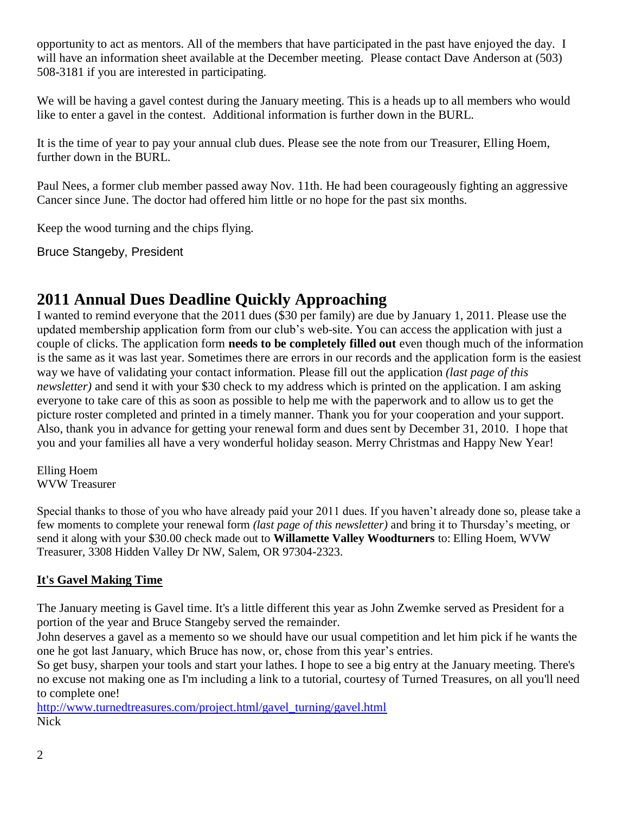opportunity to act as mentors. All of the members that have participated in the past have enjoyed the day. I will have an information sheet available at the December meeting. Please contact Dave Anderson at (503) 508-3181 if you are interested in participating.

We will be having a gavel contest during the January meeting. This is a heads up to all members who would like to enter a gavel in the contest. Additional information is further down in the BURL.

It is the time of year to pay your annual club dues. Please see the note from our Treasurer, Elling Hoem, further down in the BURL.

Paul Nees, a former club member passed away Nov. 11th. He had been courageously fighting an aggressive Cancer since June. The doctor had offered him little or no hope for the past six months.

Keep the wood turning and the chips flying.

Bruce Stangeby, President

### **2011 Annual Dues Deadline Quickly Approaching**

I wanted to remind everyone that the 2011 dues (\$30 per family) are due by January 1, 2011. Please use the updated membership application form from our club's web-site. You can access the application with just a couple of clicks. The application form **needs to be completely filled out** even though much of the information is the same as it was last year. Sometimes there are errors in our records and the application form is the easiest way we have of validating your contact information. Please fill out the application *(last page of this newsletter)* and send it with your \$30 check to my address which is printed on the application. I am asking everyone to take care of this as soon as possible to help me with the paperwork and to allow us to get the picture roster completed and printed in a timely manner. Thank you for your cooperation and your support. Also, thank you in advance for getting your renewal form and dues sent by December 31, 2010. I hope that you and your families all have a very wonderful holiday season. Merry Christmas and Happy New Year!

Elling Hoem WVW Treasurer

Special thanks to those of you who have already paid your 2011 dues. If you haven't already done so, please take a few moments to complete your renewal form *(last page of this newsletter)* and bring it to Thursday's meeting, or send it along with your \$30.00 check made out to **Willamette Valley Woodturners** to: Elling Hoem, WVW Treasurer, 3308 Hidden Valley Dr NW, Salem, OR 97304-2323.

#### **It's Gavel Making Time**

The January meeting is Gavel time. It's a little different this year as John Zwemke served as President for a portion of the year and Bruce Stangeby served the remainder.

John deserves a gavel as a memento so we should have our usual competition and let him pick if he wants the one he got last January, which Bruce has now, or, chose from this year's entries.

So get busy, sharpen your tools and start your lathes. I hope to see a big entry at the January meeting. There's no excuse not making one as I'm including a link to a tutorial, courtesy of Turned Treasures, on all you'll need to complete one!

[http://www.turnedtreasures.com/project.html/gavel\\_turning/gavel.html](http://www.turnedtreasures.com/project.html/gavel_turning/gavel.html) Nick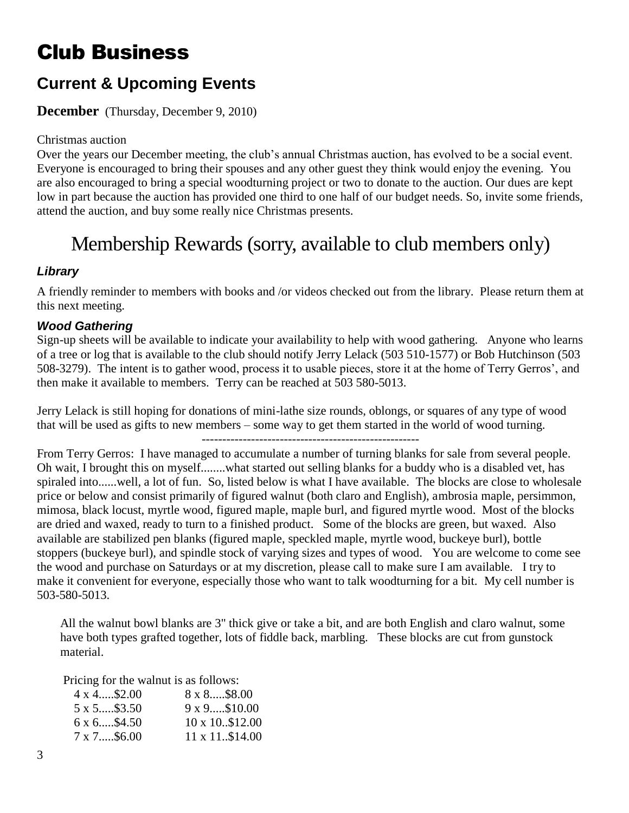# Club Business

### **Current & Upcoming Events**

#### **December** (Thursday, December 9, 2010)

#### Christmas auction

Over the years our December meeting, the club's annual Christmas auction, has evolved to be a social event. Everyone is encouraged to bring their spouses and any other guest they think would enjoy the evening. You are also encouraged to bring a special woodturning project or two to donate to the auction. Our dues are kept low in part because the auction has provided one third to one half of our budget needs. So, invite some friends, attend the auction, and buy some really nice Christmas presents.

# Membership Rewards (sorry, available to club members only)

#### *Library*

A friendly reminder to members with books and /or videos checked out from the library. Please return them at this next meeting.

#### *Wood Gathering*

Sign-up sheets will be available to indicate your availability to help with wood gathering. Anyone who learns of a tree or log that is available to the club should notify Jerry Lelack (503 510-1577) or Bob Hutchinson (503 508-3279). The intent is to gather wood, process it to usable pieces, store it at the home of Terry Gerros', and then make it available to members. Terry can be reached at 503 580-5013.

Jerry Lelack is still hoping for donations of mini-lathe size rounds, oblongs, or squares of any type of wood that will be used as gifts to new members – some way to get them started in the world of wood turning.

From Terry Gerros: I have managed to accumulate a number of turning blanks for sale from several people. Oh wait, I brought this on myself........what started out selling blanks for a buddy who is a disabled vet, has spiraled into......well, a lot of fun. So, listed below is what I have available. The blocks are close to wholesale price or below and consist primarily of figured walnut (both claro and English), ambrosia maple, persimmon, mimosa, black locust, myrtle wood, figured maple, maple burl, and figured myrtle wood. Most of the blocks are dried and waxed, ready to turn to a finished product. Some of the blocks are green, but waxed. Also available are stabilized pen blanks (figured maple, speckled maple, myrtle wood, buckeye burl), bottle stoppers (buckeye burl), and spindle stock of varying sizes and types of wood. You are welcome to come see the wood and purchase on Saturdays or at my discretion, please call to make sure I am available. I try to make it convenient for everyone, especially those who want to talk woodturning for a bit. My cell number is 503-580-5013.

All the walnut bowl blanks are 3" thick give or take a bit, and are both English and claro walnut, some have both types grafted together, lots of fiddle back, marbling. These blocks are cut from gunstock material.

Pricing for the walnut is as follows:

| $8 \times 8$ \$8.00    |
|------------------------|
| $9x9\$10.00$           |
| 10 x 10\$12.00         |
| $11 \times 11$ \$14.00 |
|                        |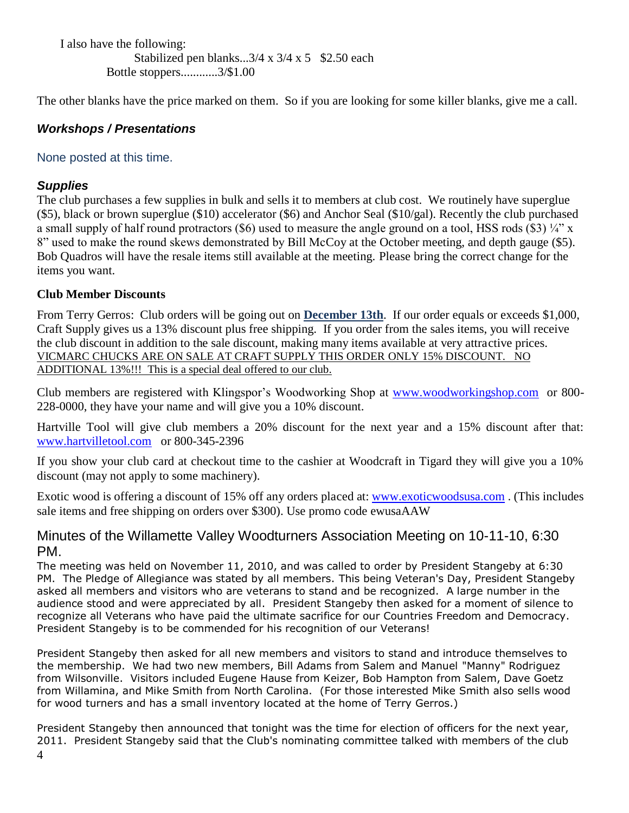I also have the following: Stabilized pen blanks... $3/4 \times 3/4 \times 5$  \$2.50 each Bottle stoppers............3/\$1.00

The other blanks have the price marked on them. So if you are looking for some killer blanks, give me a call.

#### *Workshops / Presentations*

#### None posted at this time.

#### *Supplies*

The club purchases a few supplies in bulk and sells it to members at club cost. We routinely have superglue (\$5), black or brown superglue (\$10) accelerator (\$6) and Anchor Seal (\$10/gal). Recently the club purchased a small supply of half round protractors (\$6) used to measure the angle ground on a tool, HSS rods (\$3)  $\frac{1}{4}$ " x 8" used to make the round skews demonstrated by Bill McCoy at the October meeting, and depth gauge (\$5). Bob Quadros will have the resale items still available at the meeting. Please bring the correct change for the items you want.

#### **Club Member Discounts**

From Terry Gerros: Club orders will be going out on **December 13th**. If our order equals or exceeds \$1,000, Craft Supply gives us a 13% discount plus free shipping. If you order from the sales items, you will receive the club discount in addition to the sale discount, making many items available at very attractive prices. VICMARC CHUCKS ARE ON SALE AT CRAFT SUPPLY THIS ORDER ONLY 15% DISCOUNT. NO ADDITIONAL 13%!!! This is a special deal offered to our club.

Club members are registered with Klingspor's Woodworking Shop at [www.woodworkingshop.com](http://www.woodworkingshop.com/)or 800- 228-0000, they have your name and will give you a 10% discount.

Hartville Tool will give club members a 20% discount for the next year and a 15% discount after that: [www.hartvilletool.com](http://www.hartvilletool.com/)or 800-345-2396

If you show your club card at checkout time to the cashier at Woodcraft in Tigard they will give you a 10% discount (may not apply to some machinery).

Exotic wood is offering a discount of 15% off any orders placed at: [www.exoticwoodsusa.com](http://www.exoticwoodsusa.com/) . (This includes sale items and free shipping on orders over \$300). Use promo code ewusaAAW

#### Minutes of the Willamette Valley Woodturners Association Meeting on 10-11-10, 6:30 PM.

The meeting was held on November 11, 2010, and was called to order by President Stangeby at 6:30 PM. The Pledge of Allegiance was stated by all members. This being Veteran's Day, President Stangeby asked all members and visitors who are veterans to stand and be recognized. A large number in the audience stood and were appreciated by all. President Stangeby then asked for a moment of silence to recognize all Veterans who have paid the ultimate sacrifice for our Countries Freedom and Democracy. President Stangeby is to be commended for his recognition of our Veterans!

President Stangeby then asked for all new members and visitors to stand and introduce themselves to the membership. We had two new members, Bill Adams from Salem and Manuel "Manny" Rodriguez from Wilsonville. Visitors included Eugene Hause from Keizer, Bob Hampton from Salem, Dave Goetz from Willamina, and Mike Smith from North Carolina. (For those interested Mike Smith also sells wood for wood turners and has a small inventory located at the home of Terry Gerros.)

President Stangeby then announced that tonight was the time for election of officers for the next year, 2011. President Stangeby said that the Club's nominating committee talked with members of the club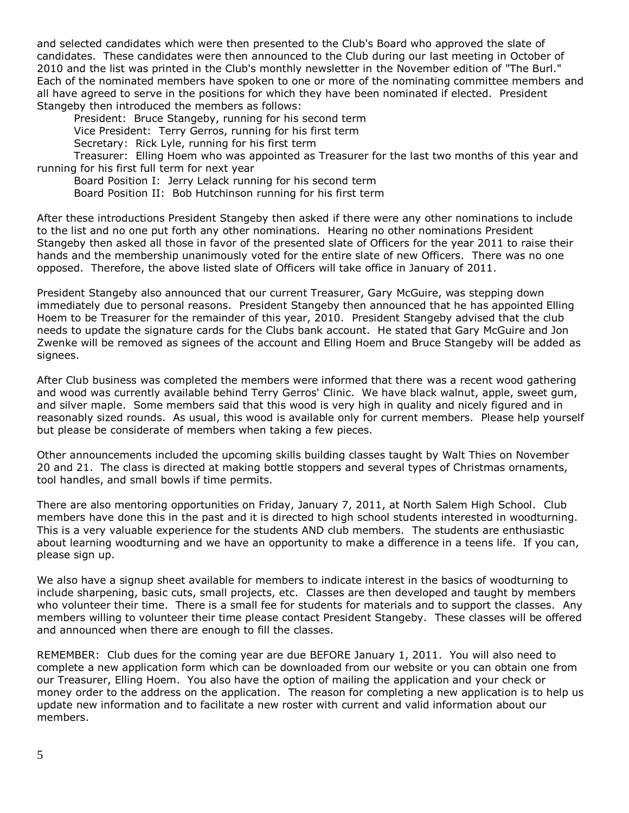and selected candidates which were then presented to the Club's Board who approved the slate of candidates. These candidates were then announced to the Club during our last meeting in October of 2010 and the list was printed in the Club's monthly newsletter in the November edition of "The Burl." Each of the nominated members have spoken to one or more of the nominating committee members and all have agreed to serve in the positions for which they have been nominated if elected. President Stangeby then introduced the members as follows:

President: Bruce Stangeby, running for his second term Vice President: Terry Gerros, running for his first term Secretary: Rick Lyle, running for his first term

Treasurer: Elling Hoem who was appointed as Treasurer for the last two months of this year and running for his first full term for next year

Board Position I: Jerry Lelack running for his second term

Board Position II: Bob Hutchinson running for his first term

After these introductions President Stangeby then asked if there were any other nominations to include to the list and no one put forth any other nominations. Hearing no other nominations President Stangeby then asked all those in favor of the presented slate of Officers for the year 2011 to raise their hands and the membership unanimously voted for the entire slate of new Officers. There was no one opposed. Therefore, the above listed slate of Officers will take office in January of 2011.

President Stangeby also announced that our current Treasurer, Gary McGuire, was stepping down immediately due to personal reasons. President Stangeby then announced that he has appointed Elling Hoem to be Treasurer for the remainder of this year, 2010. President Stangeby advised that the club needs to update the signature cards for the Clubs bank account. He stated that Gary McGuire and Jon Zwenke will be removed as signees of the account and Elling Hoem and Bruce Stangeby will be added as signees.

After Club business was completed the members were informed that there was a recent wood gathering and wood was currently available behind Terry Gerros' Clinic. We have black walnut, apple, sweet gum, and silver maple. Some members said that this wood is very high in quality and nicely figured and in reasonably sized rounds. As usual, this wood is available only for current members. Please help yourself but please be considerate of members when taking a few pieces.

Other announcements included the upcoming skills building classes taught by Walt Thies on November 20 and 21. The class is directed at making bottle stoppers and several types of Christmas ornaments, tool handles, and small bowls if time permits.

There are also mentoring opportunities on Friday, January 7, 2011, at North Salem High School. Club members have done this in the past and it is directed to high school students interested in woodturning. This is a very valuable experience for the students AND club members. The students are enthusiastic about learning woodturning and we have an opportunity to make a difference in a teens life. If you can, please sign up.

We also have a signup sheet available for members to indicate interest in the basics of woodturning to include sharpening, basic cuts, small projects, etc. Classes are then developed and taught by members who volunteer their time. There is a small fee for students for materials and to support the classes. Any members willing to volunteer their time please contact President Stangeby. These classes will be offered and announced when there are enough to fill the classes.

REMEMBER: Club dues for the coming year are due BEFORE January 1, 2011. You will also need to complete a new application form which can be downloaded from our website or you can obtain one from our Treasurer, Elling Hoem. You also have the option of mailing the application and your check or money order to the address on the application. The reason for completing a new application is to help us update new information and to facilitate a new roster with current and valid information about our members.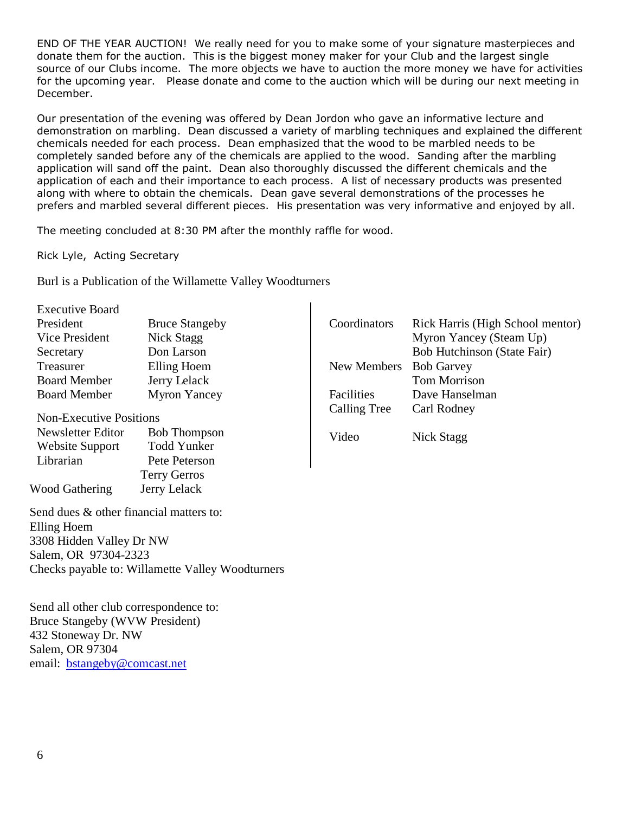END OF THE YEAR AUCTION! We really need for you to make some of your signature masterpieces and donate them for the auction. This is the biggest money maker for your Club and the largest single source of our Clubs income. The more objects we have to auction the more money we have for activities for the upcoming year. Please donate and come to the auction which will be during our next meeting in December.

Our presentation of the evening was offered by Dean Jordon who gave an informative lecture and demonstration on marbling. Dean discussed a variety of marbling techniques and explained the different chemicals needed for each process. Dean emphasized that the wood to be marbled needs to be completely sanded before any of the chemicals are applied to the wood. Sanding after the marbling application will sand off the paint. Dean also thoroughly discussed the different chemicals and the application of each and their importance to each process. A list of necessary products was presented along with where to obtain the chemicals. Dean gave several demonstrations of the processes he prefers and marbled several different pieces. His presentation was very informative and enjoyed by all.

 $\mathbf{L}$ 

The meeting concluded at 8:30 PM after the monthly raffle for wood.

Rick Lyle, Acting Secretary

Burl is a Publication of the Willamette Valley Woodturners

| <b>Executive Board</b>                  |                                                  |                     |                                  |
|-----------------------------------------|--------------------------------------------------|---------------------|----------------------------------|
| President                               | <b>Bruce Stangeby</b>                            | Coordinators        | Rick Harris (High School mentor) |
| Vice President                          | Nick Stagg                                       |                     | Myron Yancey (Steam Up)          |
| Secretary                               | Don Larson                                       |                     | Bob Hutchinson (State Fair)      |
| Treasurer                               | Elling Hoem                                      | New Members         | <b>Bob Garvey</b>                |
| <b>Board Member</b>                     | Jerry Lelack                                     |                     | <b>Tom Morrison</b>              |
| <b>Board Member</b>                     | <b>Myron Yancey</b>                              | Facilities          | Dave Hanselman                   |
|                                         |                                                  | <b>Calling Tree</b> | Carl Rodney                      |
| <b>Non-Executive Positions</b>          |                                                  |                     |                                  |
| Newsletter Editor                       | <b>Bob Thompson</b>                              | Video               | Nick Stagg                       |
| Website Support                         | <b>Todd Yunker</b>                               |                     |                                  |
| Librarian                               | Pete Peterson                                    |                     |                                  |
|                                         | <b>Terry Gerros</b>                              |                     |                                  |
| <b>Wood Gathering</b>                   | Jerry Lelack                                     |                     |                                  |
| Send dues & other financial matters to: |                                                  |                     |                                  |
| Elling Hoem                             |                                                  |                     |                                  |
| 3308 Hidden Valley Dr NW                |                                                  |                     |                                  |
| Salem, OR 97304-2323                    |                                                  |                     |                                  |
|                                         | Checks payable to: Willamette Valley Woodturners |                     |                                  |
| Send all other club correspondence to:  |                                                  |                     |                                  |
| <b>Bruce Stangeby (WVW President)</b>   |                                                  |                     |                                  |

432 Stoneway Dr. NW Salem, OR 97304

email: [bstangeby@comcast.net](mailto:bstangeby@comcast.net)